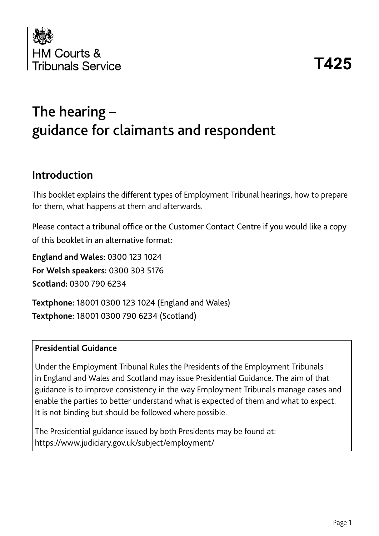

## The hearing – guidance for claimants and respondent

#### **Introduction**

This booklet explains the different types of Employment Tribunal hearings, how to prepare for them, what happens at them and afterwards.

Please contact a tribunal office or the Customer Contact Centre if you would like a copy of this booklet in an alternative format:

**England and Wales:** 0300 123 1024 **For Welsh speakers:** 0300 303 5176 **Scotland:** 0300 790 6234

**Textphone:** 18001 0300 123 1024 (England and Wales) **Textphone:** 18001 0300 790 6234 (Scotland)

#### **Presidential Guidance**

Under the Employment Tribunal Rules the Presidents of the Employment Tribunals in England and Wales and Scotland may issue Presidential Guidance. The aim of that guidance is to improve consistency in the way Employment Tribunals manage cases and enable the parties to better understand what is expected of them and what to expect. It is not binding but should be followed where possible.

The Presidential guidance issued by both Presidents may be found at: https://www.judiciary.gov.uk/subject/employment/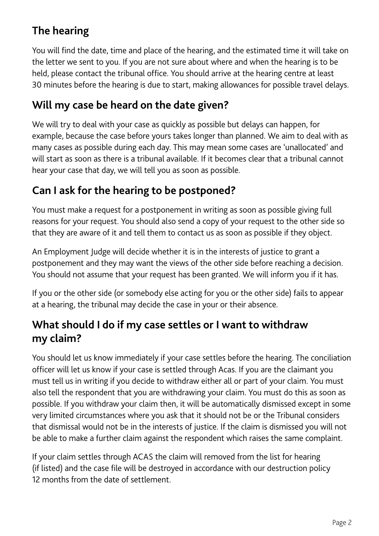#### **The hearing**

You will find the date, time and place of the hearing, and the estimated time it will take on the letter we sent to you. If you are not sure about where and when the hearing is to be held, please contact the tribunal office. You should arrive at the hearing centre at least 30 minutes before the hearing is due to start, making allowances for possible travel delays.

#### **Will my case be heard on the date given?**

We will try to deal with your case as quickly as possible but delays can happen, for example, because the case before yours takes longer than planned. We aim to deal with as many cases as possible during each day. This may mean some cases are 'unallocated' and will start as soon as there is a tribunal available. If it becomes clear that a tribunal cannot hear your case that day, we will tell you as soon as possible.

#### **Can I ask for the hearing to be postponed?**

You must make a request for a postponement in writing as soon as possible giving full reasons for your request. You should also send a copy of your request to the other side so that they are aware of it and tell them to contact us as soon as possible if they object.

An Employment Judge will decide whether it is in the interests of justice to grant a postponement and they may want the views of the other side before reaching a decision. You should not assume that your request has been granted. We will inform you if it has.

If you or the other side (or somebody else acting for you or the other side) fails to appear at a hearing, the tribunal may decide the case in your or their absence.

#### **What should I do if my case settles or I want to withdraw my claim?**

You should let us know immediately if your case settles before the hearing. The conciliation officer will let us know if your case is settled through Acas. If you are the claimant you must tell us in writing if you decide to withdraw either all or part of your claim. You must also tell the respondent that you are withdrawing your claim. You must do this as soon as possible. If you withdraw your claim then, it will be automatically dismissed except in some very limited circumstances where you ask that it should not be or the Tribunal considers that dismissal would not be in the interests of justice. If the claim is dismissed you will not be able to make a further claim against the respondent which raises the same complaint.

If your claim settles through ACAS the claim will removed from the list for hearing (if listed) and the case file will be destroyed in accordance with our destruction policy 12 months from the date of settlement.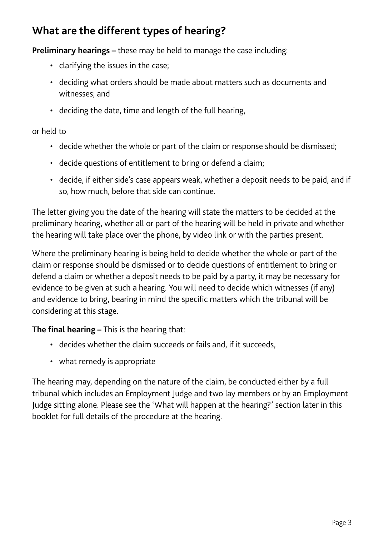#### **What are the different types of hearing?**

**Preliminary hearings –** these may be held to manage the case including:

- clarifying the issues in the case;
- deciding what orders should be made about matters such as documents and witnesses; and
- deciding the date, time and length of the full hearing,

or held to

- decide whether the whole or part of the claim or response should be dismissed;
- decide questions of entitlement to bring or defend a claim;
- decide, if either side's case appears weak, whether a deposit needs to be paid, and if so, how much, before that side can continue.

The letter giving you the date of the hearing will state the matters to be decided at the preliminary hearing, whether all or part of the hearing will be held in private and whether the hearing will take place over the phone, by video link or with the parties present.

Where the preliminary hearing is being held to decide whether the whole or part of the claim or response should be dismissed or to decide questions of entitlement to bring or defend a claim or whether a deposit needs to be paid by a party, it may be necessary for evidence to be given at such a hearing. You will need to decide which witnesses (if any) and evidence to bring, bearing in mind the specific matters which the tribunal will be considering at this stage.

**The final hearing –** This is the hearing that:

- decides whether the claim succeeds or fails and, if it succeeds,
- what remedy is appropriate

The hearing may, depending on the nature of the claim, be conducted either by a full tribunal which includes an Employment Judge and two lay members or by an Employment Judge sitting alone. Please see the 'What will happen at the hearing?' section later in this booklet for full details of the procedure at the hearing.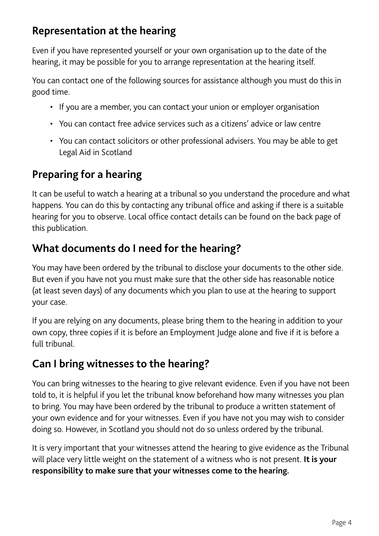#### **Representation at the hearing**

Even if you have represented yourself or your own organisation up to the date of the hearing, it may be possible for you to arrange representation at the hearing itself.

You can contact one of the following sources for assistance although you must do this in good time.

- If you are a member, you can contact your union or employer organisation
- You can contact free advice services such as a citizens' advice or law centre
- You can contact solicitors or other professional advisers. You may be able to get Legal Aid in Scotland

#### **Preparing for a hearing**

It can be useful to watch a hearing at a tribunal so you understand the procedure and what happens. You can do this by contacting any tribunal office and asking if there is a suitable hearing for you to observe. Local office contact details can be found on the back page of this publication.

#### **What documents do I need for the hearing?**

You may have been ordered by the tribunal to disclose your documents to the other side. But even if you have not you must make sure that the other side has reasonable notice (at least seven days) of any documents which you plan to use at the hearing to support your case.

If you are relying on any documents, please bring them to the hearing in addition to your own copy, three copies if it is before an Employment Judge alone and five if it is before a full tribunal.

#### **Can I bring witnesses to the hearing?**

You can bring witnesses to the hearing to give relevant evidence. Even if you have not been told to, it is helpful if you let the tribunal know beforehand how many witnesses you plan to bring. You may have been ordered by the tribunal to produce a written statement of your own evidence and for your witnesses. Even if you have not you may wish to consider doing so. However, in Scotland you should not do so unless ordered by the tribunal.

It is very important that your witnesses attend the hearing to give evidence as the Tribunal will place very little weight on the statement of a witness who is not present. **It is your responsibility to make sure that your witnesses come to the hearing.**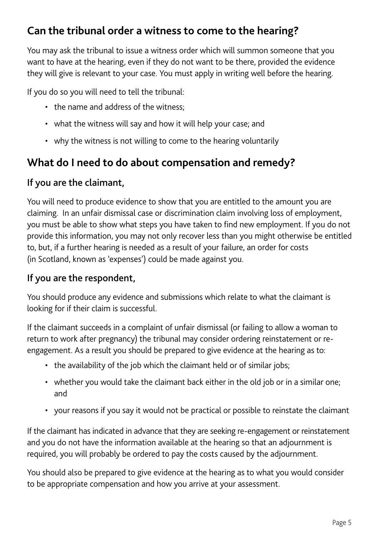#### **Can the tribunal order a witness to come to the hearing?**

You may ask the tribunal to issue a witness order which will summon someone that you want to have at the hearing, even if they do not want to be there, provided the evidence they will give is relevant to your case. You must apply in writing well before the hearing.

If you do so you will need to tell the tribunal:

- the name and address of the witness;
- what the witness will say and how it will help your case; and
- why the witness is not willing to come to the hearing voluntarily

#### **What do I need to do about compensation and remedy?**

#### If you are the claimant,

You will need to produce evidence to show that you are entitled to the amount you are claiming. In an unfair dismissal case or discrimination claim involving loss of employment, you must be able to show what steps you have taken to find new employment. If you do not provide this information, you may not only recover less than you might otherwise be entitled to, but, if a further hearing is needed as a result of your failure, an order for costs (in Scotland, known as 'expenses') could be made against you.

#### If you are the respondent,

You should produce any evidence and submissions which relate to what the claimant is looking for if their claim is successful.

If the claimant succeeds in a complaint of unfair dismissal (or failing to allow a woman to return to work after pregnancy) the tribunal may consider ordering reinstatement or reengagement. As a result you should be prepared to give evidence at the hearing as to:

- the availability of the job which the claimant held or of similar jobs;
- whether you would take the claimant back either in the old job or in a similar one; and
- your reasons if you say it would not be practical or possible to reinstate the claimant

If the claimant has indicated in advance that they are seeking re-engagement or reinstatement and you do not have the information available at the hearing so that an adjournment is required, you will probably be ordered to pay the costs caused by the adjournment.

You should also be prepared to give evidence at the hearing as to what you would consider to be appropriate compensation and how you arrive at your assessment.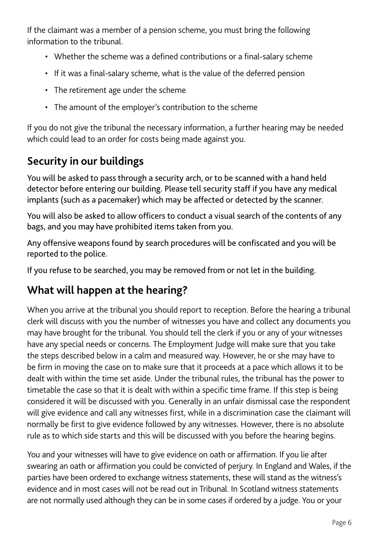If the claimant was a member of a pension scheme, you must bring the following information to the tribunal.

- Whether the scheme was a defined contributions or a final-salary scheme
- If it was a final-salary scheme, what is the value of the deferred pension
- The retirement age under the scheme
- The amount of the employer's contribution to the scheme

If you do not give the tribunal the necessary information, a further hearing may be needed which could lead to an order for costs being made against you.

## **Security in our buildings**

You will be asked to pass through a security arch, or to be scanned with a hand held detector before entering our building. Please tell security staff if you have any medical implants (such as a pacemaker) which may be affected or detected by the scanner.

You will also be asked to allow officers to conduct a visual search of the contents of any bags, and you may have prohibited items taken from you.

Any offensive weapons found by search procedures will be confiscated and you will be reported to the police.

If you refuse to be searched, you may be removed from or not let in the building.

#### **What will happen at the hearing?**

When you arrive at the tribunal you should report to reception. Before the hearing a tribunal clerk will discuss with you the number of witnesses you have and collect any documents you may have brought for the tribunal. You should tell the clerk if you or any of your witnesses have any special needs or concerns. The Employment Judge will make sure that you take the steps described below in a calm and measured way. However, he or she may have to be firm in moving the case on to make sure that it proceeds at a pace which allows it to be dealt with within the time set aside. Under the tribunal rules, the tribunal has the power to timetable the case so that it is dealt with within a specific time frame. If this step is being considered it will be discussed with you. Generally in an unfair dismissal case the respondent will give evidence and call any witnesses first, while in a discrimination case the claimant will normally be first to give evidence followed by any witnesses. However, there is no absolute rule as to which side starts and this will be discussed with you before the hearing begins.

You and your witnesses will have to give evidence on oath or affirmation. If you lie after swearing an oath or affirmation you could be convicted of perjury. In England and Wales, if the parties have been ordered to exchange witness statements, these will stand as the witness's evidence and in most cases will not be read out in Tribunal. In Scotland witness statements are not normally used although they can be in some cases if ordered by a judge. You or your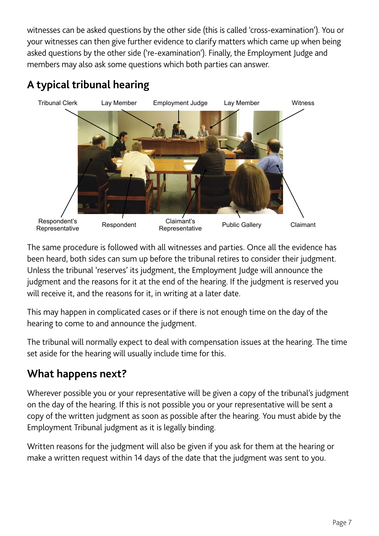witnesses can be asked questions by the other side (this is called 'cross-examination'). You or your witnesses can then give further evidence to clarify matters which came up when being asked questions by the other side ('re-examination'). Finally, the Employment Judge and members may also ask some questions which both parties can answer.

# Tribunal Clerk Lay Member Employment Judge Lay Member Witness Respondent's Respondent's Respondent Claimant's<br>Representative Respondent Representative **Representative** Public Gallery Claimant

#### **A typical tribunal hearing**

The same procedure is followed with all witnesses and parties. Once all the evidence has been heard, both sides can sum up before the tribunal retires to consider their judgment. Unless the tribunal 'reserves' its judgment, the Employment Judge will announce the judgment and the reasons for it at the end of the hearing. If the judgment is reserved you will receive it, and the reasons for it, in writing at a later date.

This may happen in complicated cases or if there is not enough time on the day of the hearing to come to and announce the judgment.

The tribunal will normally expect to deal with compensation issues at the hearing. The time set aside for the hearing will usually include time for this.

#### **What happens next?**

Wherever possible you or your representative will be given a copy of the tribunal's judgment on the day of the hearing. If this is not possible you or your representative will be sent a copy of the written judgment as soon as possible after the hearing. You must abide by the Employment Tribunal judgment as it is legally binding.

Written reasons for the judgment will also be given if you ask for them at the hearing or make a written request within 14 days of the date that the judgment was sent to you.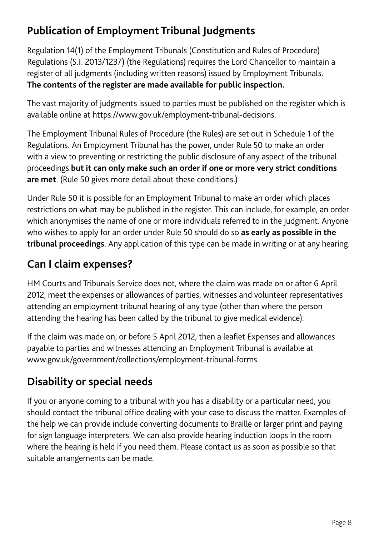## **Publication of Employment Tribunal Judgments**

Regulation 14(1) of the Employment Tribunals (Constitution and Rules of Procedure) Regulations (S.I. 2013/1237) (the Regulations) requires the Lord Chancellor to maintain a register of all judgments (including written reasons) issued by Employment Tribunals. **The contents of the register are made available for public inspection.**

The vast majority of judgments issued to parties must be published on the register which is available online at https://www.gov.uk/employment-tribunal-decisions.

The Employment Tribunal Rules of Procedure (the Rules) are set out in Schedule 1 of the Regulations. An Employment Tribunal has the power, under Rule 50 to make an order with a view to preventing or restricting the public disclosure of any aspect of the tribunal proceedings **but it can only make such an order if one or more very strict conditions are met**. (Rule 50 gives more detail about these conditions.)

Under Rule 50 it is possible for an Employment Tribunal to make an order which places restrictions on what may be published in the register. This can include, for example, an order which anonymises the name of one or more individuals referred to in the judgment. Anyone who wishes to apply for an order under Rule 50 should do so **as early as possible in the tribunal proceedings**. Any application of this type can be made in writing or at any hearing.

#### **Can I claim expenses?**

HM Courts and Tribunals Service does not, where the claim was made on or after 6 April 2012, meet the expenses or allowances of parties, witnesses and volunteer representatives attending an employment tribunal hearing of any type (other than where the person attending the hearing has been called by the tribunal to give medical evidence).

If the claim was made on, or before 5 April 2012, then a leaflet Expenses and allowances payable to parties and witnesses attending an Employment Tribunal is available at www.gov.uk/government/collections/employment-tribunal-forms

## **Disability or special needs**

If you or anyone coming to a tribunal with you has a disability or a particular need, you should contact the tribunal office dealing with your case to discuss the matter. Examples of the help we can provide include converting documents to Braille or larger print and paying for sign language interpreters. We can also provide hearing induction loops in the room where the hearing is held if you need them. Please contact us as soon as possible so that suitable arrangements can be made.